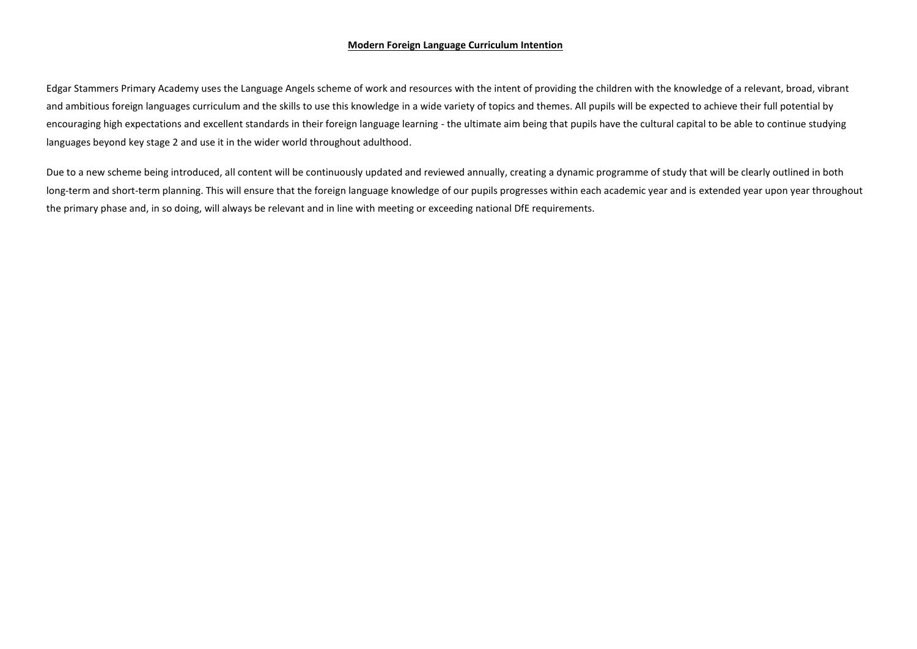## **Modern Foreign Language Curriculum Intention**

Edgar Stammers Primary Academy uses the Language Angels scheme of work and resources with the intent of providing the children with the knowledge of a relevant, broad, vibrant and ambitious foreign languages curriculum and the skills to use this knowledge in a wide variety of topics and themes. All pupils will be expected to achieve their full potential by encouraging high expectations and excellent standards in their foreign language learning - the ultimate aim being that pupils have the cultural capital to be able to continue studying languages beyond key stage 2 and use it in the wider world throughout adulthood.

Due to a new scheme being introduced, all content will be continuously updated and reviewed annually, creating a dynamic programme of study that will be clearly outlined in both long-term and short-term planning. This will ensure that the foreign language knowledge of our pupils progresses within each academic year and is extended year upon year throughout the primary phase and, in so doing, will always be relevant and in line with meeting or exceeding national DfE requirements.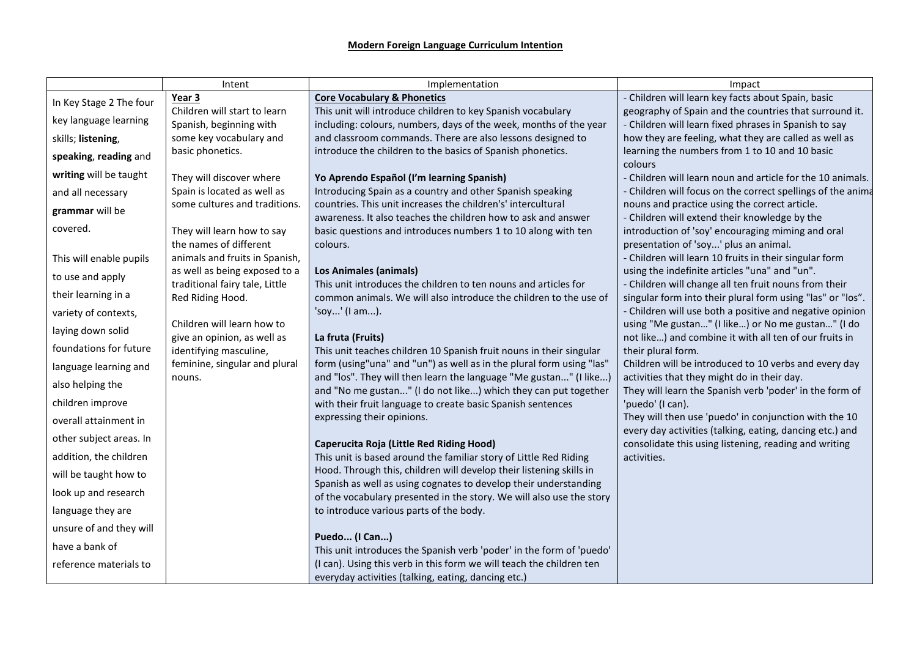|                         | Intent                                                    | Implementation                                                                                                                          | Impact                                                                                                            |
|-------------------------|-----------------------------------------------------------|-----------------------------------------------------------------------------------------------------------------------------------------|-------------------------------------------------------------------------------------------------------------------|
| In Key Stage 2 The four | Year 3                                                    | <b>Core Vocabulary &amp; Phonetics</b>                                                                                                  | - Children will learn key facts about Spain, basic                                                                |
| key language learning   | Children will start to learn                              | This unit will introduce children to key Spanish vocabulary                                                                             | geography of Spain and the countries that surround it.                                                            |
| skills; listening,      | Spanish, beginning with<br>some key vocabulary and        | including: colours, numbers, days of the week, months of the year<br>and classroom commands. There are also lessons designed to         | - Children will learn fixed phrases in Spanish to say<br>how they are feeling, what they are called as well as    |
|                         | basic phonetics.                                          | introduce the children to the basics of Spanish phonetics.                                                                              | learning the numbers from 1 to 10 and 10 basic                                                                    |
| speaking, reading and   |                                                           |                                                                                                                                         | colours                                                                                                           |
| writing will be taught  | They will discover where                                  | Yo Aprendo Español (I'm learning Spanish)                                                                                               | - Children will learn noun and article for the 10 animals.                                                        |
| and all necessary       | Spain is located as well as                               | Introducing Spain as a country and other Spanish speaking                                                                               | - Children will focus on the correct spellings of the anima                                                       |
| grammar will be         | some cultures and traditions.                             | countries. This unit increases the children's' intercultural                                                                            | nouns and practice using the correct article.                                                                     |
| covered.                |                                                           | awareness. It also teaches the children how to ask and answer<br>basic questions and introduces numbers 1 to 10 along with ten          | - Children will extend their knowledge by the<br>introduction of 'soy' encouraging miming and oral                |
|                         | They will learn how to say<br>the names of different      | colours.                                                                                                                                | presentation of 'soy' plus an animal.                                                                             |
| This will enable pupils | animals and fruits in Spanish,                            |                                                                                                                                         | - Children will learn 10 fruits in their singular form                                                            |
| to use and apply        | as well as being exposed to a                             | <b>Los Animales (animals)</b>                                                                                                           | using the indefinite articles "una" and "un".                                                                     |
|                         | traditional fairy tale, Little                            | This unit introduces the children to ten nouns and articles for                                                                         | - Children will change all ten fruit nouns from their                                                             |
| their learning in a     | Red Riding Hood.                                          | common animals. We will also introduce the children to the use of                                                                       | singular form into their plural form using "las" or "los".                                                        |
| variety of contexts,    |                                                           | 'soy' (I am).                                                                                                                           | - Children will use both a positive and negative opinion                                                          |
| laying down solid       | Children will learn how to<br>give an opinion, as well as | La fruta (Fruits)                                                                                                                       | using "Me gustan" (I like) or No me gustan" (I do<br>not like) and combine it with all ten of our fruits in       |
| foundations for future  | identifying masculine,                                    | This unit teaches children 10 Spanish fruit nouns in their singular                                                                     | their plural form.                                                                                                |
| language learning and   | feminine, singular and plural                             | form (using"una" and "un") as well as in the plural form using "las"                                                                    | Children will be introduced to 10 verbs and every day                                                             |
| also helping the        | nouns.                                                    | and "los". They will then learn the language "Me gustan" (I like)                                                                       | activities that they might do in their day.                                                                       |
|                         |                                                           | and "No me gustan" (I do not like) which they can put together                                                                          | They will learn the Spanish verb 'poder' in the form of                                                           |
| children improve        |                                                           | with their fruit language to create basic Spanish sentences                                                                             | 'puedo' (I can).                                                                                                  |
| overall attainment in   |                                                           | expressing their opinions.                                                                                                              | They will then use 'puedo' in conjunction with the 10<br>every day activities (talking, eating, dancing etc.) and |
| other subject areas. In |                                                           | Caperucita Roja (Little Red Riding Hood)                                                                                                | consolidate this using listening, reading and writing                                                             |
| addition, the children  |                                                           | This unit is based around the familiar story of Little Red Riding                                                                       | activities.                                                                                                       |
| will be taught how to   |                                                           | Hood. Through this, children will develop their listening skills in<br>Spanish as well as using cognates to develop their understanding |                                                                                                                   |
| look up and research    |                                                           | of the vocabulary presented in the story. We will also use the story                                                                    |                                                                                                                   |
| language they are       |                                                           | to introduce various parts of the body.                                                                                                 |                                                                                                                   |
| unsure of and they will |                                                           | Puedo (I Can)                                                                                                                           |                                                                                                                   |
| have a bank of          |                                                           | This unit introduces the Spanish verb 'poder' in the form of 'puedo'                                                                    |                                                                                                                   |
| reference materials to  |                                                           | (I can). Using this verb in this form we will teach the children ten                                                                    |                                                                                                                   |
|                         |                                                           | everyday activities (talking, eating, dancing etc.)                                                                                     |                                                                                                                   |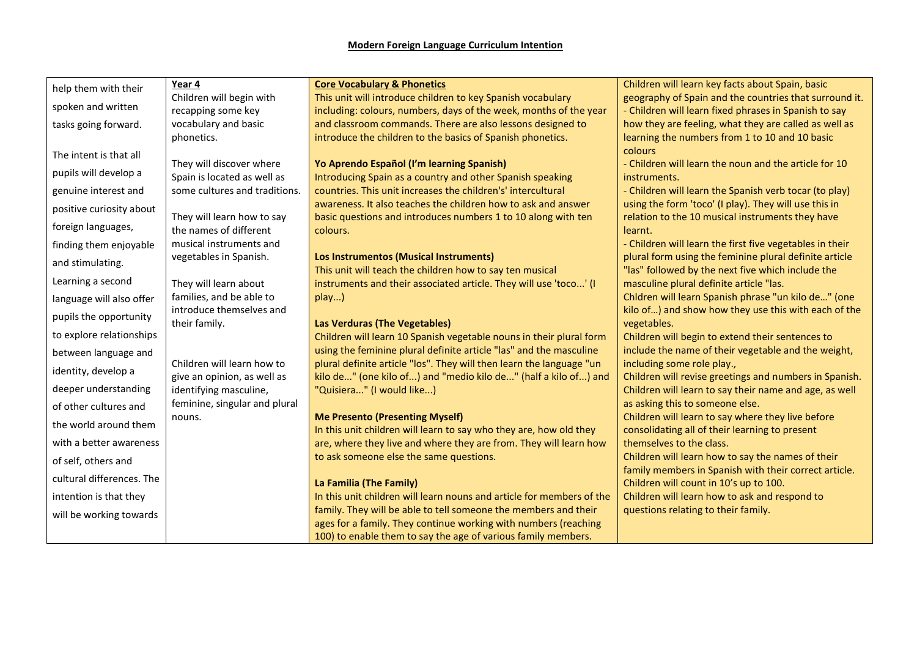| help them with their      | Year 4                                            | <b>Core Vocabulary &amp; Phonetics</b>                                                                       | Children will learn key facts about Spain, basic                                                            |
|---------------------------|---------------------------------------------------|--------------------------------------------------------------------------------------------------------------|-------------------------------------------------------------------------------------------------------------|
| spoken and written        | Children will begin with                          | This unit will introduce children to key Spanish vocabulary                                                  | geography of Spain and the countries that surround it.                                                      |
|                           | recapping some key                                | including: colours, numbers, days of the week, months of the year                                            | - Children will learn fixed phrases in Spanish to say                                                       |
| tasks going forward.      | vocabulary and basic                              | and classroom commands. There are also lessons designed to                                                   | how they are feeling, what they are called as well as                                                       |
|                           | phonetics.                                        | introduce the children to the basics of Spanish phonetics.                                                   | learning the numbers from 1 to 10 and 10 basic                                                              |
| The intent is that all    | They will discover where                          |                                                                                                              | colours<br>- Children will learn the noun and the article for 10                                            |
| pupils will develop a     | Spain is located as well as                       | Yo Aprendo Español (I'm learning Spanish)<br>Introducing Spain as a country and other Spanish speaking       | instruments.                                                                                                |
| genuine interest and      | some cultures and traditions.                     | countries. This unit increases the children's' intercultural                                                 | - Children will learn the Spanish verb tocar (to play)                                                      |
|                           |                                                   | awareness. It also teaches the children how to ask and answer                                                | using the form 'toco' (I play). They will use this in                                                       |
| positive curiosity about  | They will learn how to say                        | basic questions and introduces numbers 1 to 10 along with ten                                                | relation to the 10 musical instruments they have                                                            |
| foreign languages,        | the names of different                            | colours.                                                                                                     | learnt.                                                                                                     |
| finding them enjoyable    | musical instruments and                           |                                                                                                              | - Children will learn the first five vegetables in their                                                    |
| and stimulating.          | vegetables in Spanish.                            | Los Instrumentos (Musical Instruments)                                                                       | plural form using the feminine plural definite article                                                      |
| Learning a second         |                                                   | This unit will teach the children how to say ten musical                                                     | "las" followed by the next five which include the                                                           |
|                           | They will learn about<br>families, and be able to | instruments and their associated article. They will use 'toco' (I                                            | masculine plural definite article "las.                                                                     |
| language will also offer  | introduce themselves and                          | play)                                                                                                        | Chldren will learn Spanish phrase "un kilo de" (one<br>kilo of) and show how they use this with each of the |
| pupils the opportunity    | their family.                                     | <b>Las Verduras (The Vegetables)</b>                                                                         | vegetables.                                                                                                 |
| to explore relationships  |                                                   | Children will learn 10 Spanish vegetable nouns in their plural form                                          | Children will begin to extend their sentences to                                                            |
| between language and      |                                                   | using the feminine plural definite article "las" and the masculine                                           | include the name of their vegetable and the weight,                                                         |
|                           | Children will learn how to                        | plural definite article "los". They will then learn the language "un                                         | including some role play.,                                                                                  |
| identity, develop a       | give an opinion, as well as                       | kilo de" (one kilo of) and "medio kilo de" (half a kilo of) and                                              | Children will revise greetings and numbers in Spanish.                                                      |
| deeper understanding      | identifying masculine,                            | "Quisiera" (I would like)                                                                                    | Children will learn to say their name and age, as well                                                      |
| of other cultures and     | feminine, singular and plural                     |                                                                                                              | as asking this to someone else.                                                                             |
| the world around them     | nouns.                                            | <b>Me Presento (Presenting Myself)</b><br>In this unit children will learn to say who they are, how old they | Children will learn to say where they live before<br>consolidating all of their learning to present         |
| with a better awareness   |                                                   | are, where they live and where they are from. They will learn how                                            | themselves to the class.                                                                                    |
|                           |                                                   | to ask someone else the same questions.                                                                      | Children will learn how to say the names of their                                                           |
| of self, others and       |                                                   |                                                                                                              | family members in Spanish with their correct article.                                                       |
| cultural differences. The |                                                   | La Familia (The Family)                                                                                      | Children will count in 10's up to 100.                                                                      |
| intention is that they    |                                                   | In this unit children will learn nouns and article for members of the                                        | Children will learn how to ask and respond to                                                               |
| will be working towards   |                                                   | family. They will be able to tell someone the members and their                                              | questions relating to their family.                                                                         |
|                           |                                                   | ages for a family. They continue working with numbers (reaching                                              |                                                                                                             |
|                           |                                                   | 100) to enable them to say the age of various family members.                                                |                                                                                                             |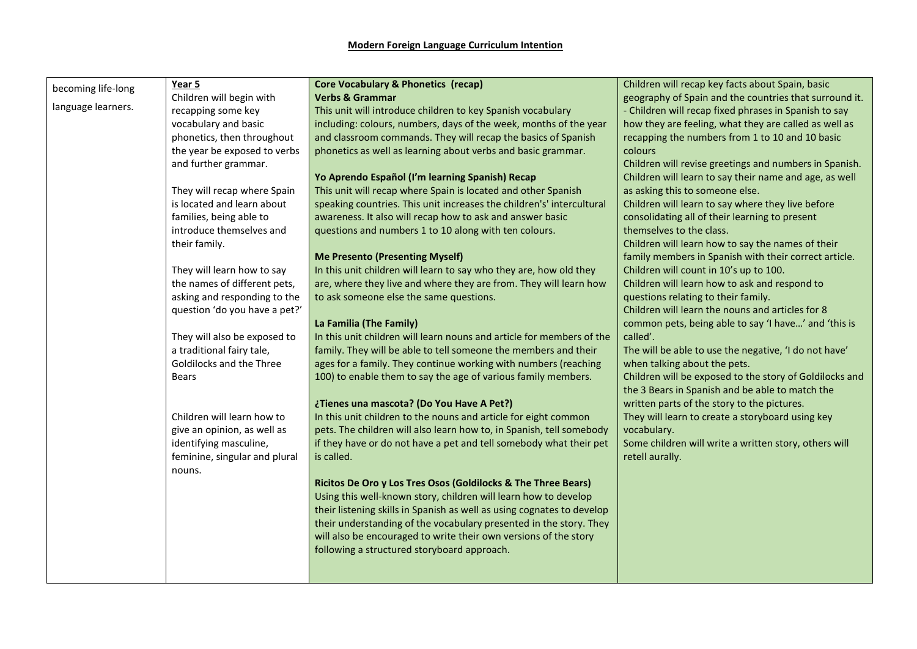| Year 5<br>becoming life-long<br>language learners. | Children will begin with<br>recapping some key<br>vocabulary and basic<br>phonetics, then throughout<br>the year be exposed to verbs<br>and further grammar.<br>They will recap where Spain<br>is located and learn about<br>families, being able to<br>introduce themselves and<br>their family.<br>They will learn how to say<br>the names of different pets,<br>asking and responding to the | <b>Core Vocabulary &amp; Phonetics (recap)</b><br><b>Verbs &amp; Grammar</b><br>This unit will introduce children to key Spanish vocabulary<br>including: colours, numbers, days of the week, months of the year<br>and classroom commands. They will recap the basics of Spanish<br>phonetics as well as learning about verbs and basic grammar.<br>Yo Aprendo Español (I'm learning Spanish) Recap<br>This unit will recap where Spain is located and other Spanish<br>speaking countries. This unit increases the children's' intercultural<br>awareness. It also will recap how to ask and answer basic<br>questions and numbers 1 to 10 along with ten colours.<br><b>Me Presento (Presenting Myself)</b><br>In this unit children will learn to say who they are, how old they<br>are, where they live and where they are from. They will learn how<br>to ask someone else the same questions.                                        | Children will recap key facts about Spain, basic<br>geography of Spain and the countries that surround it.<br>- Children will recap fixed phrases in Spanish to say<br>how they are feeling, what they are called as well as<br>recapping the numbers from 1 to 10 and 10 basic<br>colours<br>Children will revise greetings and numbers in Spanish.<br>Children will learn to say their name and age, as well<br>as asking this to someone else.<br>Children will learn to say where they live before<br>consolidating all of their learning to present<br>themselves to the class.<br>Children will learn how to say the names of their<br>family members in Spanish with their correct article.<br>Children will count in 10's up to 100.<br>Children will learn how to ask and respond to<br>questions relating to their family. |
|----------------------------------------------------|-------------------------------------------------------------------------------------------------------------------------------------------------------------------------------------------------------------------------------------------------------------------------------------------------------------------------------------------------------------------------------------------------|---------------------------------------------------------------------------------------------------------------------------------------------------------------------------------------------------------------------------------------------------------------------------------------------------------------------------------------------------------------------------------------------------------------------------------------------------------------------------------------------------------------------------------------------------------------------------------------------------------------------------------------------------------------------------------------------------------------------------------------------------------------------------------------------------------------------------------------------------------------------------------------------------------------------------------------------|--------------------------------------------------------------------------------------------------------------------------------------------------------------------------------------------------------------------------------------------------------------------------------------------------------------------------------------------------------------------------------------------------------------------------------------------------------------------------------------------------------------------------------------------------------------------------------------------------------------------------------------------------------------------------------------------------------------------------------------------------------------------------------------------------------------------------------------|
| <b>Bears</b><br>nouns.                             | question 'do you have a pet?'<br>They will also be exposed to<br>a traditional fairy tale,<br>Goldilocks and the Three<br>Children will learn how to<br>give an opinion, as well as<br>identifying masculine,<br>feminine, singular and plural                                                                                                                                                  | La Familia (The Family)<br>In this unit children will learn nouns and article for members of the<br>family. They will be able to tell someone the members and their<br>ages for a family. They continue working with numbers (reaching<br>100) to enable them to say the age of various family members.<br>¿Tienes una mascota? (Do You Have A Pet?)<br>In this unit children to the nouns and article for eight common<br>pets. The children will also learn how to, in Spanish, tell somebody<br>if they have or do not have a pet and tell somebody what their pet<br>is called.<br>Ricitos De Oro y Los Tres Osos (Goldilocks & The Three Bears)<br>Using this well-known story, children will learn how to develop<br>their listening skills in Spanish as well as using cognates to develop<br>their understanding of the vocabulary presented in the story. They<br>will also be encouraged to write their own versions of the story | Children will learn the nouns and articles for 8<br>common pets, being able to say 'I have' and 'this is<br>called'.<br>The will be able to use the negative, 'I do not have'<br>when talking about the pets.<br>Children will be exposed to the story of Goldilocks and<br>the 3 Bears in Spanish and be able to match the<br>written parts of the story to the pictures.<br>They will learn to create a storyboard using key<br>vocabulary.<br>Some children will write a written story, others will<br>retell aurally.                                                                                                                                                                                                                                                                                                            |